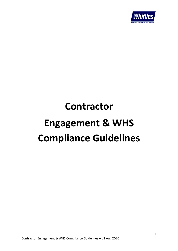

# **Contractor Engagement & WHS Compliance Guidelines**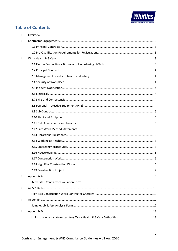

# **Table of Contents**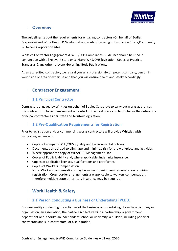

## **<sup>2</sup> Overview**

The guidelines set out the requirements for engaging contractors (On behalf of Bodies Corporate) and Work Health & Safety that apply whilst carrying out works on Strata,Community & Owners Corporation sites.

Whittles Contractor Engagement & WHS/OHS Compliance Guidelines should be used in conjunction with all relevant state or territory WHS/OHS legislation, Codes of Practice, Standards & any other relevant Governing Body Publications.

As an accredited contractor, we regard you as a professional/competent company/person in your trade or area of expertise and that you will ensure health and safety accordingly.

# **<sup>3</sup> Contractor Engagement**

#### **3.1 1.1 Principal Contractor**

Contractors engaged by Whittles on behalf of Bodies Corporate to carry out works authorises the contractor to have management or control of the workplace and to discharge the duties of a principal contractor as per state and territory legislation.

#### **3.2 1.2 Pre-Qualification Requirements for Registration**

Prior to registration and/or commencing works contractors will provide Whittles with supporting evidence of.

- Copies of company WHS/OHS, Quality and Environmental policies.
- Documentation utilized to eliminate and minimize risk for the workplace and activities.
- Where appropriate copy of WHS/OHS Management Plan
- Copies of Public Liability and, where applicable, Indemnity insurance.
- Copies of applicable licenses, qualifications and certificates.
- Copies of Workers Compensation. Note: Workers compensations may be subject to minimum remuneration requiring registration. Cross border arrangements are applicable to workers compensation, therefore multiple state or territory insurance may be required.

# **<sup>4</sup> Work Health & Safety**

#### **4.1 2.1 Person Conducting a Business or Undertaking (PCBU)**

Business entity conducting the activities of the business or undertaking. It can be a company or organisation, an association, the partners (collectively) in a partnership, a government department or authority, an independent school or university, a builder (including principal contractors and sub-contractors) or a sole trader.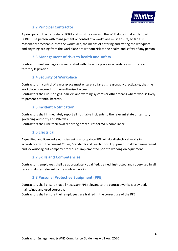

#### **4.2 2.2 Principal Contractor**

A principal contractor is also a PCBU and must be aware of the WHS duties that apply to all PCBUs. The person with management or control of a workplace must ensure, so far as is reasonably practicable, that the workplace, the means of entering and exiting the workplace and anything arising from the workplace are without risk to the health and safety of any person

#### **4.3 2.3 Management of risks to health and safety**

Contractor must manage risks associated with the work place in accordance with state and territory legislation.

#### **4.4 2.4 Security of Workplace**

Contractors in control of a workplace must ensure, so far as is reasonably practicable, that the workplace is secured from unauthorised access.

Contractors shall utilise signs, barriers and warning systems or other means where work is likely to present potential hazards.

#### **4.5 2.5 Incident Notification**

Contractors shall immediately report all notifiable incidents to the relevant state or territory governing authority and Whittles.

Contractors shall use their own reporting procedures for WHS compliance.

#### **4.6 2.6 Electrical**

A qualified and licenced electrician using appropriate PPE will do all electrical works in accordance with the current Codes, Standards and regulations. Equipment shall be de-energized and lockout/tag out company procedures implemented prior to working on equipment.

#### **4.7 2.7 Skills and Competencies**

Contractor's employees shall be appropriately qualified, trained, instructed and supervised in all task and duties relevant to the contract works.

#### **4.8 2.8 Personal Protective Equipment (PPE)**

Contractors shall ensure that all necessary PPE relevant to the contract works is provided, maintained and used correctly.

Contractors shall ensure their employees are trained in the correct use of the PPE.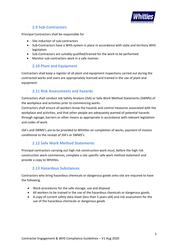

#### **4.9 2.9 Sub-Contractors**

Principal Contractors shall be responsible for

- Site induction of sub-contractors
- Sub-Contractors have a WHS system in place in accordance with state and territory WHS legislation
- Sub-Contractors are suitably qualified/trained for the work to be performed.
- Monitor sub-contractors work in a safe manner.

#### **4.10 2.10 Plant and Equipment**

Contractors shall keep a register of all plant and equipment inspections carried out during the contracted works and users are appropriately licenced and trained in the use of plant and equipment.

#### **4.11 2.11 Risk Assessments and hazards**

Contractors shall conduct Job Safety Analysis (JSA) or Safe Work Method Statements (SWMS) of the workplace and activities prior to commencing works.

Contractors shall ensure all workers know the hazards and control measures associated with the workplace and activities, and that other people are adequately warned of potential hazards through signage, barriers or other means as appropriate in accordance with relevant legislation and codes of work.

JSA's and SWMS's are to be provided to Whittles on completion of works, payment of invoice conditional to the receipt of JSA's or SWMS's.

#### **4.12 2.12 Safe Work Method Statements**

Principal contractors carrying out high risk construction work must, before the high risk construction work commences, complete a site specific safe work method statement and provide a copy to Whittles.

#### **4.13 2.13 Hazardous Substances**

Contractors who bring hazardous chemicals or dangerous goods onto site are required to have the following.

- Work procedures for the safe storage, use and disposal
- All workers to be trained in the use of the hazardous chemicals or dangerous goods.
- A copy of current safety data sheet (less than 5 years old) and risk assessment for the use of the hazardous chemicals or dangerous goods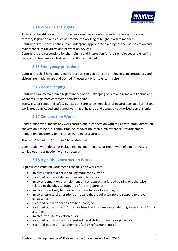

#### **4.14 2.14 Working at Heights**

All work at heights or on roofs to be performed in accordance with the relevant state or territory legislation and codes of practice for working at height in a safe manner.

Contractors must ensure they have undergone appropriate training for the use, selection and maintenance of fall arrest and prevention devices.

Contractors are responsible for the training and instruction for their employees and ensuring sub-contractors are also trained and suitably qualified.

#### **4.15 2.15 Emergency procedures**

Contractors shall have emergency procedures in place and all employees, subcontractors and visitors are made aware and trained if necessary prior to entering site.

#### **4.16 2.16 Housekeeping**

Contractor are to maintain a high standard of housekeeping on site and remove all debris and waste resulting from contractor activity on site.

Stairways, passages and safety egress paths are to be kept clear of obstructions at all times and work areas barricaded and signed warning of hazards and access by authorised persons only.

#### **4.17 2.17 Construction Works**

Construction work means any work carried out in connection with the construction, alteration, conversion, fitting out, commissioning, renovation, repair, maintenance, refurbishment, demolition, decommissioning or dismantling of a structure.

The term 'demolition' includes 'deconstruction'.

Construction work does not include testing, maintenance or repair work of a minor nature carried out in connection with a structure.

#### **4.18 2.18 High Risk Construction Works**

High risk construction work means construction work that:

- Involves a risk of a person falling more than 2 m; or
- Is carried out on a telecommunication tower; or
- Involves demolition of an element of a structure that is load bearing or otherwise related to the physical integrity of the structure; or
- Involves, or is likely to involve, the disturbance of asbestos; or
- Involves structural alterations or repairs that require temporary support to prevent collapse; or
- Is carried out in or near a confined space; or
- Is carried out in or near: A shaft or trench with an excavated depth greater than 1.5 m or a tunnel; or
- involves the use of explosives; or
- Is carried out on or near pressurized gas distribution mains or piping; or
- Is carried out on or near chemical, fuel or refrigerant lines; or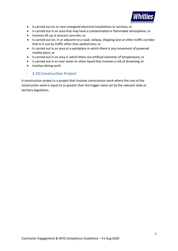

- Is carried out on or near energized electrical installations or services; or
- Is carried out in an area that may have a contaminated or flammable atmosphere; or
- Involves tilt up or precast concrete; or
- Is carried out on, in or adjacent to a road, railway, shipping lane or other traffic corridor that is in use by traffic other than pedestrians; or
- Is carried out in an area at a workplace in which there is any movement of powered mobile plant; or
- Is carried out in an area in which there are artificial extremes of temperature; or
- Is carried out in or near water or other liquid that involves a risk of drowning; or
- Involves diving work.

#### **4.19 2.19 Construction Project**

A construction project is a project that involves construction work where the cost of the construction work is equal to or greater than the trigger value set by the relevant state or territory legislation.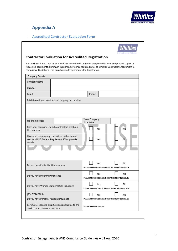

# **<sup>5</sup> Appendix A**

#### **5.1 Accredited Contractor Evaluation Form**

|                                                                                                        | For consideration to register as a Whittles Accredited Contractor complete this form and provide copies of<br>requested documents. Minimum supporting evidence required refer to Whittles Contractor Engagement &<br>Compliance Guidelines - Pre-qualification Requirements for Registration. |                       |     |                                                |
|--------------------------------------------------------------------------------------------------------|-----------------------------------------------------------------------------------------------------------------------------------------------------------------------------------------------------------------------------------------------------------------------------------------------|-----------------------|-----|------------------------------------------------|
| Company Details                                                                                        |                                                                                                                                                                                                                                                                                               |                       |     |                                                |
| Company Name                                                                                           |                                                                                                                                                                                                                                                                                               |                       |     |                                                |
| Director                                                                                               |                                                                                                                                                                                                                                                                                               |                       |     |                                                |
| Email                                                                                                  |                                                                                                                                                                                                                                                                                               | Phone                 |     |                                                |
|                                                                                                        | Brief discretion of service your company can provide                                                                                                                                                                                                                                          |                       |     |                                                |
|                                                                                                        |                                                                                                                                                                                                                                                                                               |                       |     |                                                |
|                                                                                                        |                                                                                                                                                                                                                                                                                               |                       |     |                                                |
|                                                                                                        |                                                                                                                                                                                                                                                                                               |                       |     |                                                |
| No of Employees                                                                                        |                                                                                                                                                                                                                                                                                               | Years Company         |     |                                                |
|                                                                                                        |                                                                                                                                                                                                                                                                                               | Established           |     |                                                |
| hire workers                                                                                           | Does your company use sub-contractors or labour                                                                                                                                                                                                                                               |                       | Yes | Νō                                             |
| Has your company any convictions under state or                                                        |                                                                                                                                                                                                                                                                                               |                       |     |                                                |
| territory WHS Act and Regulations. If Yes provide<br>details                                           |                                                                                                                                                                                                                                                                                               |                       | Yes | No                                             |
|                                                                                                        |                                                                                                                                                                                                                                                                                               |                       |     |                                                |
|                                                                                                        |                                                                                                                                                                                                                                                                                               |                       |     |                                                |
|                                                                                                        |                                                                                                                                                                                                                                                                                               |                       |     |                                                |
|                                                                                                        |                                                                                                                                                                                                                                                                                               |                       |     |                                                |
| Do you have Public Liability Insurance                                                                 |                                                                                                                                                                                                                                                                                               |                       | Yes | Nο                                             |
|                                                                                                        |                                                                                                                                                                                                                                                                                               |                       |     | PLEASE PROVIDE CURRENT CERTIFICATE OF CURRENCY |
|                                                                                                        |                                                                                                                                                                                                                                                                                               |                       | Yes | No                                             |
|                                                                                                        |                                                                                                                                                                                                                                                                                               |                       |     | PLEASE PROVIDE CURRENT CERTIFICATE OF CURRENCY |
| Do you have Indemnity Insurance                                                                        |                                                                                                                                                                                                                                                                                               |                       |     | No                                             |
|                                                                                                        |                                                                                                                                                                                                                                                                                               |                       | Yes |                                                |
|                                                                                                        |                                                                                                                                                                                                                                                                                               |                       |     | PLEASE PROVIDE CURRENT CERTIFICATE OF CURRENCY |
|                                                                                                        |                                                                                                                                                                                                                                                                                               |                       | Yes | No                                             |
|                                                                                                        |                                                                                                                                                                                                                                                                                               |                       |     | PLEASE PROVIDE CURRENT CERTIFICATE OF CURRENCY |
| Do you have Worker Compensation Insurance<br>(SOLE TRADERS)<br>Do you have Personal Accident Insurance | Certificate, licenses, qualifications applicable to the                                                                                                                                                                                                                                       | PLEASE PROVIDE COPIES |     |                                                |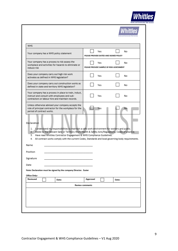| <b>WHS</b><br>Yes<br>No<br>PLEASE PROVIDE DATED AND SIGNED POLICY<br>Yes<br>No<br>PLEASE PROVIDE SAMPLE OF RISK ASSESSMENT<br>Yes<br>No.<br>Does your company carry out construction works as<br>Yes<br>No<br>defined in state and territory WHS legislation?<br>Your company has a process in place to train, induct,<br>instruct and consult with employees and sub-<br>Yes<br>No<br>contractors or labour hire and maintain records.<br>Unless otherwise advised your company accepts the<br>role of principal contractor for the workplace for the<br>Yes<br>No.<br>period of contract works.<br>Declaration<br>1. I understand my responsibilities to maintain a safe work environment for workers and public.<br>2. Abide by the relevant Sate or Territory Work Health & Safety Acts/Regulations, Codes of practice.<br>Have read Whittles Contractor Engagement & WHS Compliance Guidelines.<br>3.<br>All contract works comply with the current Codes, Standards and local governing body requirements.<br>4.<br>Name<br>Position<br>Signature<br>Date<br>Note: Declaration must be signed by the company Director. Easier<br>Office Only:-<br>Reviewed<br>Approved<br>Date:<br>Date:<br><b>Review comments</b> |                                                                                                                      | <b>Whitt</b> |
|--------------------------------------------------------------------------------------------------------------------------------------------------------------------------------------------------------------------------------------------------------------------------------------------------------------------------------------------------------------------------------------------------------------------------------------------------------------------------------------------------------------------------------------------------------------------------------------------------------------------------------------------------------------------------------------------------------------------------------------------------------------------------------------------------------------------------------------------------------------------------------------------------------------------------------------------------------------------------------------------------------------------------------------------------------------------------------------------------------------------------------------------------------------------------------------------------------------------------|----------------------------------------------------------------------------------------------------------------------|--------------|
|                                                                                                                                                                                                                                                                                                                                                                                                                                                                                                                                                                                                                                                                                                                                                                                                                                                                                                                                                                                                                                                                                                                                                                                                                          |                                                                                                                      |              |
|                                                                                                                                                                                                                                                                                                                                                                                                                                                                                                                                                                                                                                                                                                                                                                                                                                                                                                                                                                                                                                                                                                                                                                                                                          | Your company has a WHS policy statement                                                                              |              |
|                                                                                                                                                                                                                                                                                                                                                                                                                                                                                                                                                                                                                                                                                                                                                                                                                                                                                                                                                                                                                                                                                                                                                                                                                          | Your company has a process to risk assess the<br>workplace and activities for hazards to eliminate or<br>reduce risk |              |
|                                                                                                                                                                                                                                                                                                                                                                                                                                                                                                                                                                                                                                                                                                                                                                                                                                                                                                                                                                                                                                                                                                                                                                                                                          | Does your company carry out high risk work<br>activates as defined in WHS legislation?                               |              |
|                                                                                                                                                                                                                                                                                                                                                                                                                                                                                                                                                                                                                                                                                                                                                                                                                                                                                                                                                                                                                                                                                                                                                                                                                          |                                                                                                                      |              |
|                                                                                                                                                                                                                                                                                                                                                                                                                                                                                                                                                                                                                                                                                                                                                                                                                                                                                                                                                                                                                                                                                                                                                                                                                          |                                                                                                                      |              |
|                                                                                                                                                                                                                                                                                                                                                                                                                                                                                                                                                                                                                                                                                                                                                                                                                                                                                                                                                                                                                                                                                                                                                                                                                          |                                                                                                                      |              |
|                                                                                                                                                                                                                                                                                                                                                                                                                                                                                                                                                                                                                                                                                                                                                                                                                                                                                                                                                                                                                                                                                                                                                                                                                          |                                                                                                                      |              |
|                                                                                                                                                                                                                                                                                                                                                                                                                                                                                                                                                                                                                                                                                                                                                                                                                                                                                                                                                                                                                                                                                                                                                                                                                          |                                                                                                                      |              |
|                                                                                                                                                                                                                                                                                                                                                                                                                                                                                                                                                                                                                                                                                                                                                                                                                                                                                                                                                                                                                                                                                                                                                                                                                          |                                                                                                                      |              |
|                                                                                                                                                                                                                                                                                                                                                                                                                                                                                                                                                                                                                                                                                                                                                                                                                                                                                                                                                                                                                                                                                                                                                                                                                          |                                                                                                                      |              |
|                                                                                                                                                                                                                                                                                                                                                                                                                                                                                                                                                                                                                                                                                                                                                                                                                                                                                                                                                                                                                                                                                                                                                                                                                          |                                                                                                                      |              |
|                                                                                                                                                                                                                                                                                                                                                                                                                                                                                                                                                                                                                                                                                                                                                                                                                                                                                                                                                                                                                                                                                                                                                                                                                          |                                                                                                                      |              |
|                                                                                                                                                                                                                                                                                                                                                                                                                                                                                                                                                                                                                                                                                                                                                                                                                                                                                                                                                                                                                                                                                                                                                                                                                          |                                                                                                                      |              |
|                                                                                                                                                                                                                                                                                                                                                                                                                                                                                                                                                                                                                                                                                                                                                                                                                                                                                                                                                                                                                                                                                                                                                                                                                          |                                                                                                                      |              |
|                                                                                                                                                                                                                                                                                                                                                                                                                                                                                                                                                                                                                                                                                                                                                                                                                                                                                                                                                                                                                                                                                                                                                                                                                          |                                                                                                                      |              |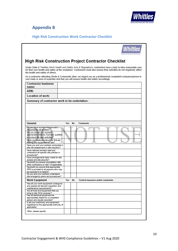

# **<sup>6</sup> Appendix B**

## **6.1 High Risk Construction Work Contractor Checklist**

|                                                                                                                                                          |        | <b>High Risk Construction Project Contractor Checklist</b>                                                                                                                                                                                     |
|----------------------------------------------------------------------------------------------------------------------------------------------------------|--------|------------------------------------------------------------------------------------------------------------------------------------------------------------------------------------------------------------------------------------------------|
| the health and safety of others.                                                                                                                         |        | Under State & Territory Work Health and Safety Acts & Regulations, contractors have a duty to take reasonable care<br>for their own health and safety at the workplace. Contractors must also ensure their activities do not negatively affect |
| your trade or area of expertise and that you will ensure health and safety accordingly.                                                                  |        | As a contractor attending Strata & Community sites, we regard you as a professional/ competent company/person in                                                                                                                               |
| <b>Contractor business</b><br>name:                                                                                                                      |        |                                                                                                                                                                                                                                                |
| ABN:                                                                                                                                                     |        |                                                                                                                                                                                                                                                |
| Location of work:                                                                                                                                        |        |                                                                                                                                                                                                                                                |
| Summary of contractor work to be undertaken:                                                                                                             |        |                                                                                                                                                                                                                                                |
|                                                                                                                                                          |        |                                                                                                                                                                                                                                                |
| General                                                                                                                                                  | Yes No | <b>Comments</b>                                                                                                                                                                                                                                |
| Do you have workers compensation-                                                                                                                        |        |                                                                                                                                                                                                                                                |
| insurance for all workers?<br>Are you and/or your workers<br>appropriately trained, licensed, qualified<br>to conduct the work activities?               |        |                                                                                                                                                                                                                                                |
| Have you made provisions for first aid<br>training and equipment on site?                                                                                |        |                                                                                                                                                                                                                                                |
| Have you and your workers conducted a<br>site risk assessment or site induction?                                                                         |        |                                                                                                                                                                                                                                                |
| Have relevant workers read and<br>understood all specific site policies or<br>procedures?                                                                |        |                                                                                                                                                                                                                                                |
| Have arrangements been made for site<br>access and site security?                                                                                        |        |                                                                                                                                                                                                                                                |
| Have/will you ensure consultation with                                                                                                                   |        |                                                                                                                                                                                                                                                |
| other contractors on site? (if applicable)<br>Have/will you ensure that appropriate<br>PPE is provided to all persons who may<br>be exposed to a hazard? |        |                                                                                                                                                                                                                                                |
| Do you and your workers understand<br>site emergency plans and procedures?                                                                               |        |                                                                                                                                                                                                                                                |
| <b>Work Equipment</b>                                                                                                                                    | Yes No | Control measures and/or comments                                                                                                                                                                                                               |
| Has all your work equipment undergone<br>and passed all relevant inspection and                                                                          |        |                                                                                                                                                                                                                                                |
| maintenance requirements?<br>Are all tools and equipment that you                                                                                        |        |                                                                                                                                                                                                                                                |
| bring to site 'fit for purpose'?<br>Has all electrical equipment be                                                                                      |        |                                                                                                                                                                                                                                                |
| appropriately tested by a competent<br>person and results recorded?                                                                                      |        |                                                                                                                                                                                                                                                |
| Is all your machinery and equipment<br>registered by the appropriate authority (if<br>applicable)                                                        |        |                                                                                                                                                                                                                                                |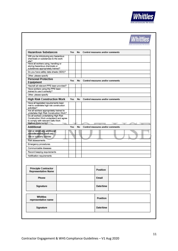

| <b>Hazardous Substances</b>                                                                                | Yes No |    | Control measures and/or comments |  |
|------------------------------------------------------------------------------------------------------------|--------|----|----------------------------------|--|
| Will you be introducing any hazardous<br>chemicals or substances to the work<br>site?                      |        |    |                                  |  |
| Have all workers using, handling or<br>storing hazardous chemicals or<br>substances appropriately trained? |        |    |                                  |  |
| Do you have safety data sheets (SDS)?                                                                      |        |    |                                  |  |
| Other, please specify                                                                                      |        |    |                                  |  |
| <b>Personal Protective</b><br>Equipment                                                                    | Yes No |    | Control measures and/or comments |  |
| Has/will all relevant PPE been provided?                                                                   |        |    |                                  |  |
| Have workers using the PPE been<br>trained to use it correctly?                                            |        |    |                                  |  |
| Other, please specify                                                                                      |        |    |                                  |  |
| <b>High Risk Construction Work</b>                                                                         | Yes    | No | Control measures and/or comments |  |
| Have all legislated requirements been<br>met to undertake high risk construction<br>activities?            |        |    |                                  |  |
| Are all workers appropriately trained to<br>undertake High Risk Construction Work?                         |        |    |                                  |  |
| Do all workers undertaking High Risk<br>Construction Work understand and agree                             |        |    |                                  |  |
| to comply with relevant Safe Work                                                                          |        |    |                                  |  |
| Method Statements?                                                                                         |        |    |                                  |  |
| <b>Additional</b>                                                                                          | Yes    | No | Control measures and/or comments |  |
| List or detail any additional<br>considerations (such as):                                                 |        |    |                                  |  |
| Site or company policies                                                                                   |        |    |                                  |  |
| Risk assessments                                                                                           |        |    |                                  |  |
| Emergency procedures                                                                                       |        |    |                                  |  |
| Communicable diseases                                                                                      |        |    |                                  |  |
| Record keeping requirements                                                                                |        |    |                                  |  |
| Notification requirements                                                                                  |        |    |                                  |  |
|                                                                                                            |        |    |                                  |  |
| <b>Principle Contractor</b><br><b>Representative Name</b>                                                  |        |    | Position                         |  |
| <b>Phone</b>                                                                                               |        |    | Email                            |  |
| Signature                                                                                                  |        |    | Date/time                        |  |
| Whittles                                                                                                   |        |    |                                  |  |

Date/time

Signature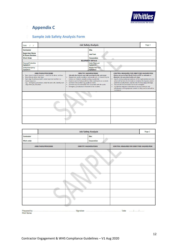

# **<sup>7</sup> Appendix C**

## **7.1 Sample Job Safety Analysis Form**

| Date                                                                                    |                                                                                                                                                                                                                           |                                                                                                                                                                                                                                                                                                                                                                                                                                                                                       | Page 1                                      |                                                                                                                                                                                                                                                                                                                                                                                                                                                                                                                                                                                    |  |
|-----------------------------------------------------------------------------------------|---------------------------------------------------------------------------------------------------------------------------------------------------------------------------------------------------------------------------|---------------------------------------------------------------------------------------------------------------------------------------------------------------------------------------------------------------------------------------------------------------------------------------------------------------------------------------------------------------------------------------------------------------------------------------------------------------------------------------|---------------------------------------------|------------------------------------------------------------------------------------------------------------------------------------------------------------------------------------------------------------------------------------------------------------------------------------------------------------------------------------------------------------------------------------------------------------------------------------------------------------------------------------------------------------------------------------------------------------------------------------|--|
| <b>Contractor</b>                                                                       |                                                                                                                                                                                                                           |                                                                                                                                                                                                                                                                                                                                                                                                                                                                                       | Site:                                       |                                                                                                                                                                                                                                                                                                                                                                                                                                                                                                                                                                                    |  |
| <b>Supervisor Name</b><br>& Phone Number:                                               |                                                                                                                                                                                                                           |                                                                                                                                                                                                                                                                                                                                                                                                                                                                                       | <b>Job/Task</b>                             |                                                                                                                                                                                                                                                                                                                                                                                                                                                                                                                                                                                    |  |
| <b>Work Order</b>                                                                       |                                                                                                                                                                                                                           |                                                                                                                                                                                                                                                                                                                                                                                                                                                                                       | Corporation                                 |                                                                                                                                                                                                                                                                                                                                                                                                                                                                                                                                                                                    |  |
|                                                                                         |                                                                                                                                                                                                                           |                                                                                                                                                                                                                                                                                                                                                                                                                                                                                       | <b>EQUIPMENT DETAILS</b>                    |                                                                                                                                                                                                                                                                                                                                                                                                                                                                                                                                                                                    |  |
| <b>Personal Protective</b><br><b>Equipment</b>                                          |                                                                                                                                                                                                                           |                                                                                                                                                                                                                                                                                                                                                                                                                                                                                       | <b>Static Plant and</b><br><b>Equipment</b> |                                                                                                                                                                                                                                                                                                                                                                                                                                                                                                                                                                                    |  |
| Safety/Emergency<br><b>Equipment</b>                                                    |                                                                                                                                                                                                                           |                                                                                                                                                                                                                                                                                                                                                                                                                                                                                       | <b>Mobile Plant and</b><br><b>Equipment</b> |                                                                                                                                                                                                                                                                                                                                                                                                                                                                                                                                                                                    |  |
| Break the job down into steps.<br>٠<br>logical sequence.<br>step of the job, induction. | <b>JOBS/TASKS/PROCESSES</b><br>Basic steps in logical sequence - what is to be done, not how<br>. Each step should accomplish some major task and be in a<br>e.g. Emergency procedures, make the area safe, identify each | <b>IDENTIFY HAZARDS/RISKS</b><br>(Identify the hazards and risks associated with each step).<br>. Hazards are unsafe conditions and unsafe acts. A Hazard may be<br>intrinsic or inherent, actually existing or potential.<br>. Examine each to find possibilities that could lead to an accident.<br>Are there risk to others e.g. public or clients<br>Are there any Environmental risks associated with the works<br>Emergency procedures in the event of an incident<br>$\bullet$ |                                             | <b>CONTROL MEASURES FOR IDENTIFIED HAZARD/RISK</b><br>(Safety measures/Safe Work Practices/PPE to minimise or<br>eliminate risk associated with each step)<br>. Specify what practices/procedures will be implemented and what<br>action will be taken to eliminate or minimise the hazards, and/or<br>potential severity factors, and the risk of serious injury/damage.<br>. How are the Environmental risks to be managed?<br>Include the measures to be taken to ensure continuity and<br>٠<br>effectiveness of the proposed controls so they can be and will be<br>maintained |  |
|                                                                                         |                                                                                                                                                                                                                           |                                                                                                                                                                                                                                                                                                                                                                                                                                                                                       |                                             |                                                                                                                                                                                                                                                                                                                                                                                                                                                                                                                                                                                    |  |
|                                                                                         |                                                                                                                                                                                                                           |                                                                                                                                                                                                                                                                                                                                                                                                                                                                                       |                                             |                                                                                                                                                                                                                                                                                                                                                                                                                                                                                                                                                                                    |  |
|                                                                                         |                                                                                                                                                                                                                           |                                                                                                                                                                                                                                                                                                                                                                                                                                                                                       |                                             |                                                                                                                                                                                                                                                                                                                                                                                                                                                                                                                                                                                    |  |

|                   |                      | <b>Job Safety Analysis</b>    | Page 2      |  |                                             |  |
|-------------------|----------------------|-------------------------------|-------------|--|---------------------------------------------|--|
| Contractor        |                      |                               | Site:       |  |                                             |  |
| <b>Work order</b> |                      |                               | Corporation |  |                                             |  |
|                   | JOBS/TASKS/PROCESSES | <b>IDENTIFY HAZARDS/RISKS</b> |             |  | CONTROL MEASURES FOR IDENTIFIED HAZARD/RISK |  |
|                   |                      |                               |             |  |                                             |  |
|                   |                      |                               |             |  |                                             |  |
|                   |                      |                               |             |  |                                             |  |
|                   |                      |                               |             |  |                                             |  |
|                   |                      |                               |             |  |                                             |  |
|                   |                      |                               |             |  |                                             |  |
|                   |                      |                               |             |  |                                             |  |

| Prepared by:      |  |
|-------------------|--|
| <b>Print Name</b> |  |